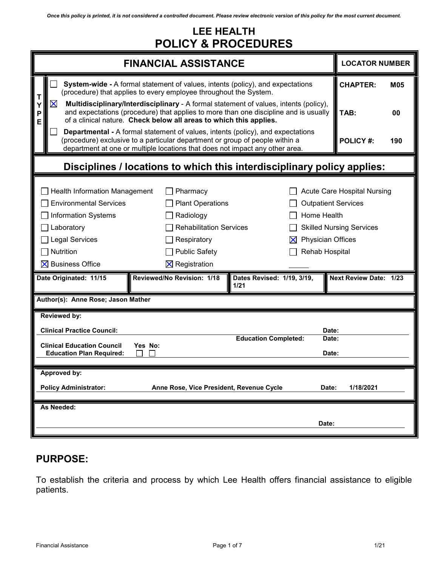# **LEE HEALTH POLICY & PROCEDURES**

| <b>FINANCIAL ASSISTANCE</b>                                                                                                                                                                                                                              | <b>LOCATOR NUMBER</b>                                                                                                                              |                                    |                                                                                                                                                                  |  |
|----------------------------------------------------------------------------------------------------------------------------------------------------------------------------------------------------------------------------------------------------------|----------------------------------------------------------------------------------------------------------------------------------------------------|------------------------------------|------------------------------------------------------------------------------------------------------------------------------------------------------------------|--|
| <b>System-wide - A formal statement of values, intents (policy), and expectations</b><br>(procedure) that applies to every employee throughout the System.                                                                                               |                                                                                                                                                    |                                    | <b>CHAPTER:</b><br><b>M05</b>                                                                                                                                    |  |
| Multidisciplinary/Interdisciplinary - A formal statement of values, intents (policy),<br>X<br>and expectations (procedure) that applies to more than one discipline and is usually<br>of a clinical nature. Check below all areas to which this applies. |                                                                                                                                                    |                                    | TAB:<br>00                                                                                                                                                       |  |
| <b>Departmental - A formal statement of values, intents (policy), and expectations</b><br>(procedure) exclusive to a particular department or group of people within a<br>department at one or multiple locations that does not impact any other area.   | <b>POLICY#:</b><br>190                                                                                                                             |                                    |                                                                                                                                                                  |  |
| Disciplines / locations to which this interdisciplinary policy applies:                                                                                                                                                                                  |                                                                                                                                                    |                                    |                                                                                                                                                                  |  |
| <b>Health Information Management</b><br><b>Environmental Services</b><br><b>Information Systems</b><br>Laboratory<br><b>Legal Services</b><br>Nutrition<br>$\boxtimes$ Business Office                                                                   | Pharmacy<br><b>Plant Operations</b><br>Radiology<br><b>Rehabilitation Services</b><br>Respiratory<br><b>Public Safety</b><br>$\times$ Registration | X                                  | Acute Care Hospital Nursing<br><b>Outpatient Services</b><br>Home Health<br><b>Skilled Nursing Services</b><br><b>Physician Offices</b><br><b>Rehab Hospital</b> |  |
| Date Originated: 11/15                                                                                                                                                                                                                                   | Reviewed/No Revision: 1/18                                                                                                                         | Dates Revised: 1/19, 3/19,<br>1/21 | Next Review Date: 1/23                                                                                                                                           |  |
| Author(s): Anne Rose; Jason Mather                                                                                                                                                                                                                       |                                                                                                                                                    |                                    |                                                                                                                                                                  |  |
| <b>Reviewed by:</b>                                                                                                                                                                                                                                      |                                                                                                                                                    |                                    |                                                                                                                                                                  |  |
| <b>Clinical Practice Council:</b>                                                                                                                                                                                                                        |                                                                                                                                                    | <b>Education Completed:</b>        | Date:<br>Date:                                                                                                                                                   |  |
| <b>Clinical Education Council</b><br><b>Education Plan Required:</b>                                                                                                                                                                                     | Yes No:                                                                                                                                            |                                    | Date:                                                                                                                                                            |  |
| Approved by:                                                                                                                                                                                                                                             |                                                                                                                                                    |                                    |                                                                                                                                                                  |  |
| Anne Rose, Vice President, Revenue Cycle<br><b>Policy Administrator:</b><br>1/18/2021<br>Date:                                                                                                                                                           |                                                                                                                                                    |                                    |                                                                                                                                                                  |  |
| As Needed:                                                                                                                                                                                                                                               |                                                                                                                                                    |                                    | Date:                                                                                                                                                            |  |

## **PURPOSE:**

To establish the criteria and process by which Lee Health offers financial assistance to eligible patients.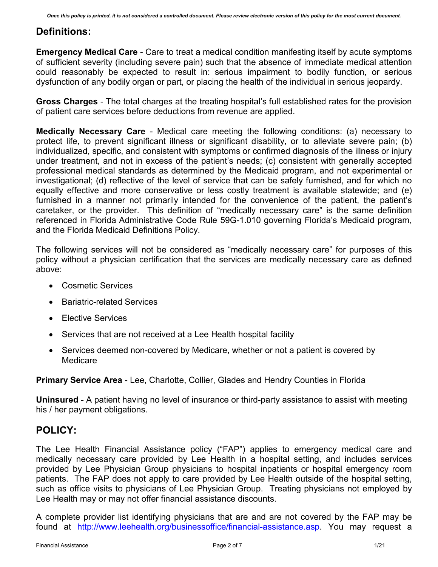## **Definitions:**

**Emergency Medical Care** - Care to treat a medical condition manifesting itself by acute symptoms of sufficient severity (including severe pain) such that the absence of immediate medical attention could reasonably be expected to result in: serious impairment to bodily function, or serious dysfunction of any bodily organ or part, or placing the health of the individual in serious jeopardy.

**Gross Charges** - The total charges at the treating hospital's full established rates for the provision of patient care services before deductions from revenue are applied.

**Medically Necessary Care** - Medical care meeting the following conditions: (a) necessary to protect life, to prevent significant illness or significant disability, or to alleviate severe pain; (b) individualized, specific, and consistent with symptoms or confirmed diagnosis of the illness or injury under treatment, and not in excess of the patient's needs; (c) consistent with generally accepted professional medical standards as determined by the Medicaid program, and not experimental or investigational; (d) reflective of the level of service that can be safely furnished, and for which no equally effective and more conservative or less costly treatment is available statewide; and (e) furnished in a manner not primarily intended for the convenience of the patient, the patient's caretaker, or the provider. This definition of "medically necessary care" is the same definition referenced in Florida Administrative Code Rule 59G-1.010 governing Florida's Medicaid program, and the Florida Medicaid Definitions Policy.

The following services will not be considered as "medically necessary care" for purposes of this policy without a physician certification that the services are medically necessary care as defined above:

- Cosmetic Services
- Bariatric-related Services
- Elective Services
- Services that are not received at a Lee Health hospital facility
- Services deemed non-covered by Medicare, whether or not a patient is covered by Medicare

**Primary Service Area** - Lee, Charlotte, Collier, Glades and Hendry Counties in Florida

**Uninsured** - A patient having no level of insurance or third-party assistance to assist with meeting his / her payment obligations.

# **POLICY:**

The Lee Health Financial Assistance policy ("FAP") applies to emergency medical care and medically necessary care provided by Lee Health in a hospital setting, and includes services provided by Lee Physician Group physicians to hospital inpatients or hospital emergency room patients. The FAP does not apply to care provided by Lee Health outside of the hospital setting, such as office visits to physicians of Lee Physician Group. Treating physicians not employed by Lee Health may or may not offer financial assistance discounts.

A complete provider list identifying physicians that are and are not covered by the FAP may be found at [http://www.leehealth.org/businessoffice/financial-assistance.asp.](http://www.leehealth.org/businessoffice/financial-assistance.asp) You may request a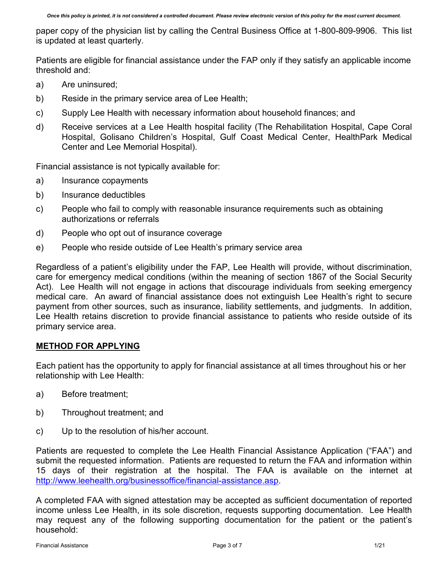paper copy of the physician list by calling the Central Business Office at 1-800-809-9906. This list is updated at least quarterly.

Patients are eligible for financial assistance under the FAP only if they satisfy an applicable income threshold and:

- a) Are uninsured;
- b) Reside in the primary service area of Lee Health;
- c) Supply Lee Health with necessary information about household finances; and
- d) Receive services at a Lee Health hospital facility (The Rehabilitation Hospital, Cape Coral Hospital, Golisano Children's Hospital, Gulf Coast Medical Center, HealthPark Medical Center and Lee Memorial Hospital).

Financial assistance is not typically available for:

- a) Insurance copayments
- b) Insurance deductibles
- c) People who fail to comply with reasonable insurance requirements such as obtaining authorizations or referrals
- d) People who opt out of insurance coverage
- e) People who reside outside of Lee Health's primary service area

Regardless of a patient's eligibility under the FAP, Lee Health will provide, without discrimination, care for emergency medical conditions (within the meaning of section 1867 of the Social Security Act). Lee Health will not engage in actions that discourage individuals from seeking emergency medical care. An award of financial assistance does not extinguish Lee Health's right to secure payment from other sources, such as insurance, liability settlements, and judgments. In addition, Lee Health retains discretion to provide financial assistance to patients who reside outside of its primary service area.

#### **METHOD FOR APPLYING**

Each patient has the opportunity to apply for financial assistance at all times throughout his or her relationship with Lee Health:

- a) Before treatment;
- b) Throughout treatment; and
- c) Up to the resolution of his/her account.

Patients are requested to complete the Lee Health Financial Assistance Application ("FAA") and submit the requested information. Patients are requested to return the FAA and information within 15 days of their registration at the hospital. The FAA is available on the internet at [http://www.leehealth.org/businessoffice/financial-assistance.asp.](http://www.leehealth.org/businessoffice/financial-assistance.asp)

A completed FAA with signed attestation may be accepted as sufficient documentation of reported income unless Lee Health, in its sole discretion, requests supporting documentation. Lee Health may request any of the following supporting documentation for the patient or the patient's household: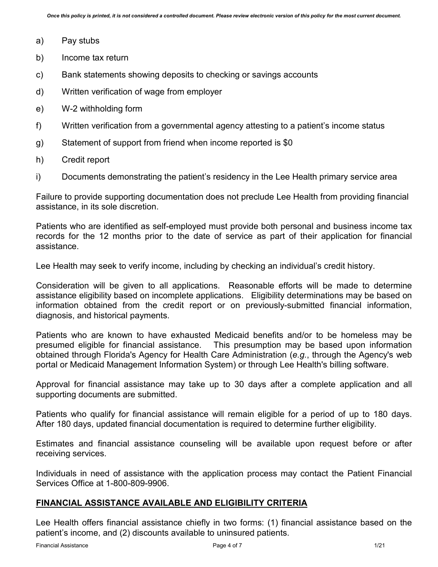- a) Pay stubs
- b) Income tax return
- c) Bank statements showing deposits to checking or savings accounts
- d) Written verification of wage from employer
- e) W-2 withholding form
- f) Written verification from a governmental agency attesting to a patient's income status
- g) Statement of support from friend when income reported is \$0
- h) Credit report
- i) Documents demonstrating the patient's residency in the Lee Health primary service area

Failure to provide supporting documentation does not preclude Lee Health from providing financial assistance, in its sole discretion.

Patients who are identified as self-employed must provide both personal and business income tax records for the 12 months prior to the date of service as part of their application for financial assistance.

Lee Health may seek to verify income, including by checking an individual's credit history.

Consideration will be given to all applications. Reasonable efforts will be made to determine assistance eligibility based on incomplete applications. Eligibility determinations may be based on information obtained from the credit report or on previously-submitted financial information, diagnosis, and historical payments.

Patients who are known to have exhausted Medicaid benefits and/or to be homeless may be presumed eligible for financial assistance. This presumption may be based upon information obtained through Florida's Agency for Health Care Administration (*e.g.*, through the Agency's web portal or Medicaid Management Information System) or through Lee Health's billing software.

Approval for financial assistance may take up to 30 days after a complete application and all supporting documents are submitted.

Patients who qualify for financial assistance will remain eligible for a period of up to 180 days. After 180 days, updated financial documentation is required to determine further eligibility.

Estimates and financial assistance counseling will be available upon request before or after receiving services.

Individuals in need of assistance with the application process may contact the Patient Financial Services Office at 1-800-809-9906.

#### **FINANCIAL ASSISTANCE AVAILABLE AND ELIGIBILITY CRITERIA**

Lee Health offers financial assistance chiefly in two forms: (1) financial assistance based on the patient's income, and (2) discounts available to uninsured patients.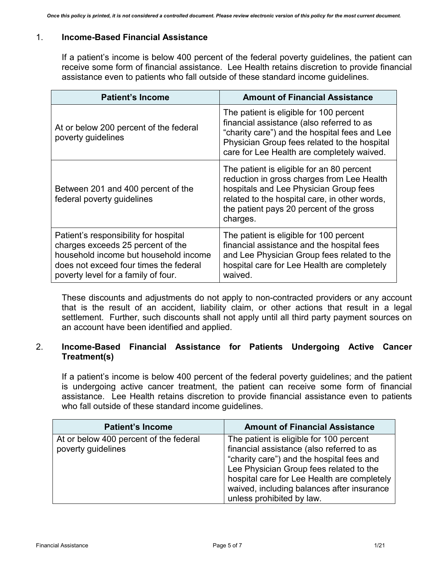### 1. **Income-Based Financial Assistance**

If a patient's income is below 400 percent of the federal poverty guidelines, the patient can receive some form of financial assistance. Lee Health retains discretion to provide financial assistance even to patients who fall outside of these standard income guidelines.

| <b>Patient's Income</b>                                                                                                                                                                              | <b>Amount of Financial Assistance</b>                                                                                                                                                                                                      |  |
|------------------------------------------------------------------------------------------------------------------------------------------------------------------------------------------------------|--------------------------------------------------------------------------------------------------------------------------------------------------------------------------------------------------------------------------------------------|--|
| At or below 200 percent of the federal<br>poverty guidelines                                                                                                                                         | The patient is eligible for 100 percent<br>financial assistance (also referred to as<br>"charity care") and the hospital fees and Lee<br>Physician Group fees related to the hospital<br>care for Lee Health are completely waived.        |  |
| Between 201 and 400 percent of the<br>federal poverty guidelines                                                                                                                                     | The patient is eligible for an 80 percent<br>reduction in gross charges from Lee Health<br>hospitals and Lee Physician Group fees<br>related to the hospital care, in other words,<br>the patient pays 20 percent of the gross<br>charges. |  |
| Patient's responsibility for hospital<br>charges exceeds 25 percent of the<br>household income but household income<br>does not exceed four times the federal<br>poverty level for a family of four. | The patient is eligible for 100 percent<br>financial assistance and the hospital fees<br>and Lee Physician Group fees related to the<br>hospital care for Lee Health are completely<br>waived.                                             |  |

These discounts and adjustments do not apply to non-contracted providers or any account that is the result of an accident, liability claim, or other actions that result in a legal settlement. Further, such discounts shall not apply until all third party payment sources on an account have been identified and applied.

#### 2. **Income-Based Financial Assistance for Patients Undergoing Active Cancer Treatment(s)**

If a patient's income is below 400 percent of the federal poverty guidelines; and the patient is undergoing active cancer treatment, the patient can receive some form of financial assistance. Lee Health retains discretion to provide financial assistance even to patients who fall outside of these standard income guidelines.

| <b>Patient's Income</b>                | <b>Amount of Financial Assistance</b>       |
|----------------------------------------|---------------------------------------------|
| At or below 400 percent of the federal | The patient is eligible for 100 percent     |
| poverty guidelines                     | financial assistance (also referred to as   |
|                                        | "charity care") and the hospital fees and   |
|                                        | Lee Physician Group fees related to the     |
|                                        | hospital care for Lee Health are completely |
|                                        | waived, including balances after insurance  |
|                                        | unless prohibited by law.                   |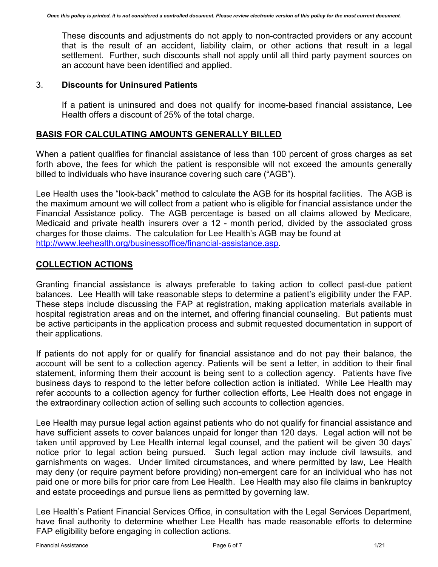These discounts and adjustments do not apply to non-contracted providers or any account that is the result of an accident, liability claim, or other actions that result in a legal settlement. Further, such discounts shall not apply until all third party payment sources on an account have been identified and applied.

#### 3. **Discounts for Uninsured Patients**

If a patient is uninsured and does not qualify for income-based financial assistance, Lee Health offers a discount of 25% of the total charge.

#### **BASIS FOR CALCULATING AMOUNTS GENERALLY BILLED**

When a patient qualifies for financial assistance of less than 100 percent of gross charges as set forth above, the fees for which the patient is responsible will not exceed the amounts generally billed to individuals who have insurance covering such care ("AGB").

Lee Health uses the "look-back" method to calculate the AGB for its hospital facilities. The AGB is the maximum amount we will collect from a patient who is eligible for financial assistance under the Financial Assistance policy. The AGB percentage is based on all claims allowed by Medicare, Medicaid and private health insurers over a 12 - month period, divided by the associated gross charges for those claims. The calculation for Lee Health's AGB may be found at [http://www.leehealth.org/businessoffice/financial-assistance.asp.](http://www.leehealth.org/businessoffice/financial-assistance.asp)

### **COLLECTION ACTIONS**

Granting financial assistance is always preferable to taking action to collect past-due patient balances. Lee Health will take reasonable steps to determine a patient's eligibility under the FAP. These steps include discussing the FAP at registration, making application materials available in hospital registration areas and on the internet, and offering financial counseling. But patients must be active participants in the application process and submit requested documentation in support of their applications.

If patients do not apply for or qualify for financial assistance and do not pay their balance, the account will be sent to a collection agency. Patients will be sent a letter, in addition to their final statement, informing them their account is being sent to a collection agency. Patients have five business days to respond to the letter before collection action is initiated. While Lee Health may refer accounts to a collection agency for further collection efforts, Lee Health does not engage in the extraordinary collection action of selling such accounts to collection agencies.

Lee Health may pursue legal action against patients who do not qualify for financial assistance and have sufficient assets to cover balances unpaid for longer than 120 days. Legal action will not be taken until approved by Lee Health internal legal counsel, and the patient will be given 30 days' notice prior to legal action being pursued. Such legal action may include civil lawsuits, and garnishments on wages. Under limited circumstances, and where permitted by law, Lee Health may deny (or require payment before providing) non-emergent care for an individual who has not paid one or more bills for prior care from Lee Health. Lee Health may also file claims in bankruptcy and estate proceedings and pursue liens as permitted by governing law.

Lee Health's Patient Financial Services Office, in consultation with the Legal Services Department, have final authority to determine whether Lee Health has made reasonable efforts to determine FAP eligibility before engaging in collection actions.